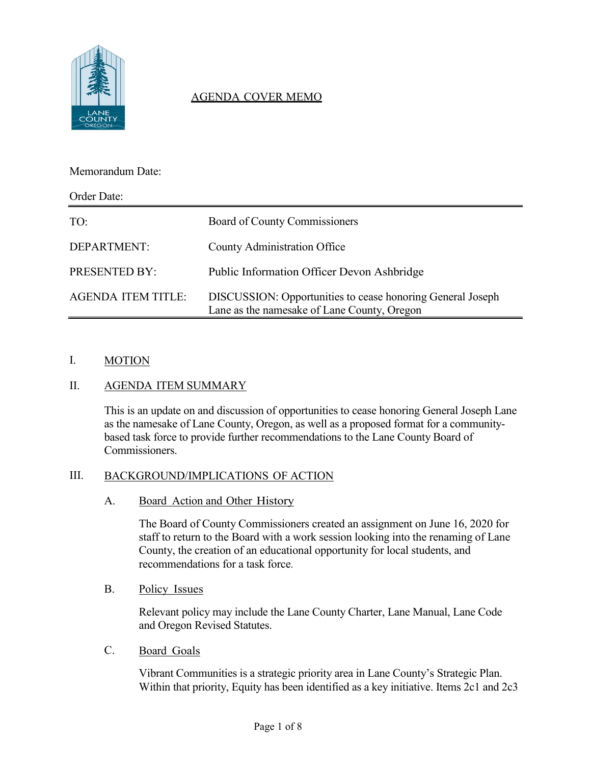

# AGENDA COVER MEMO

### Memorandum Date:

| Order Date:               |                                                                                                                  |  |
|---------------------------|------------------------------------------------------------------------------------------------------------------|--|
| TO:                       | Board of County Commissioners                                                                                    |  |
| DEPARTMENT:               | <b>County Administration Office</b>                                                                              |  |
| PRESENTED BY:             | <b>Public Information Officer Devon Ashbridge</b>                                                                |  |
| <b>AGENDA ITEM TITLE:</b> | <b>DISCUSSION:</b> Opportunities to cease honoring General Joseph<br>Lane as the namesake of Lane County, Oregon |  |

#### I. MOTION

# II. AGENDA ITEM SUMMARY

This is an update on and discussion of opportunities to cease honoring General Joseph Lane as the namesake of Lane County, Oregon, as well as a proposed format for a communitybased task force to provide further recommendations to the Lane County Board of Commissioners.

#### III. BACKGROUND/IMPLICATIONS OF ACTION

A. Board Action and Other History

The Board of County Commissioners created an assignment on June 16, 2020 for staff to return to the Board with a work session looking into the renaming of Lane County, the creation of an educational opportunity for local students, and recommendations for a task force.

B. Policy Issues

Relevant policy may include the Lane County Charter, Lane Manual, Lane Code and Oregon Revised Statutes.

C. Board Goals

Vibrant Communities is a strategic priority area in Lane County's Strategic Plan. Within that priority, Equity has been identified as a key initiative. Items 2c1 and 2c3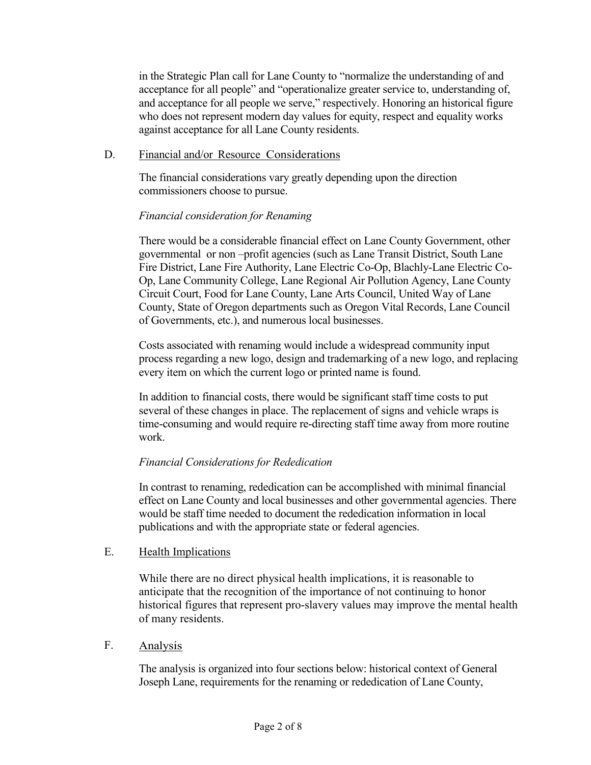in the Strategic Plan call for Lane County to "normalize the understanding of and acceptance for all people" and "operationalize greater service to, understanding of, and acceptance for all people we serve," respectively. Honoring an historical figure who does not represent modern day values for equity, respect and equality works against acceptance for all Lane County residents.

### D. Financial and/or Resource Considerations

The financial considerations vary greatly depending upon the direction commissioners choose to pursue.

# *Financial consideration for Renaming*

There would be a considerable financial effect on Lane County Government, other governmental or non –profit agencies (such as Lane Transit District, South Lane Fire District, Lane Fire Authority, Lane Electric Co-Op, Blachly-Lane Electric Co-Op, Lane Community College, Lane Regional Air Pollution Agency, Lane County Circuit Court, Food for Lane County, Lane Arts Council, United Way of Lane County, State of Oregon departments such as Oregon Vital Records, Lane Council of Governments, etc.), and numerous local businesses.

Costs associated with renaming would include a widespread community input process regarding a new logo, design and trademarking of a new logo, and replacing every item on which the current logo or printed name is found.

In addition to financial costs, there would be significant staff time costs to put several of these changes in place. The replacement of signs and vehicle wraps is time-consuming and would require re-directing staff time away from more routine work.

# *Financial Considerations for Rededication*

In contrast to renaming, rededication can be accomplished with minimal financial effect on Lane County and local businesses and other governmental agencies. There would be staff time needed to document the rededication information in local publications and with the appropriate state or federal agencies.

#### E. Health Implications

While there are no direct physical health implications, it is reasonable to anticipate that the recognition of the importance of not continuing to honor historical figures that represent pro-slavery values may improve the mental health of many residents.

#### F. Analysis

The analysis is organized into four sections below: historical context of General Joseph Lane, requirements for the renaming or rededication of Lane County,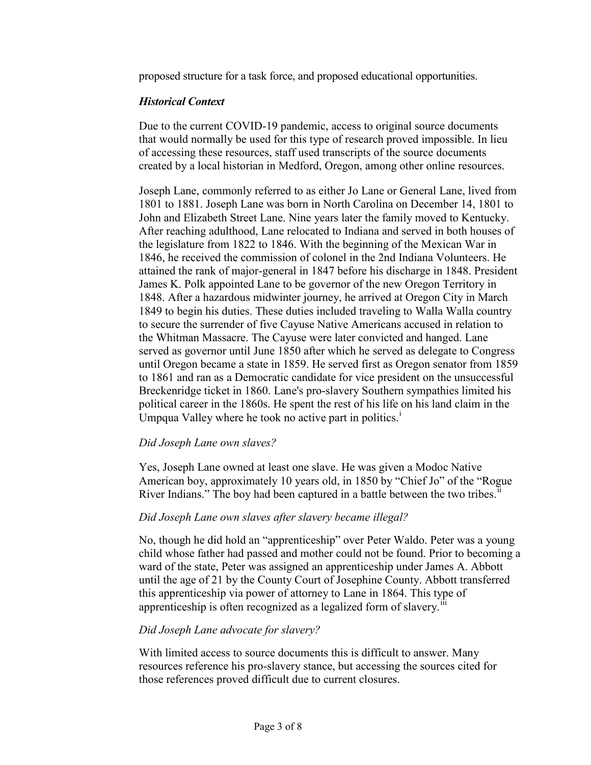proposed structure for a task force, and proposed educational opportunities.

### *Historical Context*

Due to the current COVID-19 pandemic, access to original source documents that would normally be used for this type of research proved impossible. In lieu of accessing these resources, staff used transcripts of the source documents created by a local historian in Medford, Oregon, among other online resources.

Joseph Lane, commonly referred to as either Jo Lane or General Lane, lived from 1801 to 1881. Joseph Lane was born in North Carolina on December 14, 1801 to John and Elizabeth Street Lane. Nine years later the family moved to Kentucky. After reaching adulthood, Lane relocated to Indiana and served in both houses of the legislature from 1822 to 1846. With the beginning of the Mexican War in 1846, he received the commission of colonel in the 2nd Indiana Volunteers. He attained the rank of major-general in 1847 before his discharge in 1848. President James K. Polk appointed Lane to be governor of the new Oregon Territory in 1848. After a hazardous midwinter journey, he arrived at Oregon City in March 1849 to begin his duties. These duties included traveling to Walla Walla country to secure the surrender of five Cayuse Native Americans accused in relation to the Whitman Massacre. The Cayuse were later convicted and hanged. Lane served as governor until June 1850 after which he served as delegate to Congress until Oregon became a state in 1859. He served first as Oregon senator from 1859 to 1861 and ran as a Democratic candidate for vice president on the unsuccessful Breckenridge ticket in 1860. Lane's pro-slavery Southern sympathies limited his political career in the 1860s. He spent the rest of his life on his land claim in the Umpqua Valley where he took no act[i](#page-7-0)ve part in politics. $<sup>1</sup>$ </sup>

# *Did Joseph Lane own slaves?*

Yes, Joseph Lane owned at least one slave. He was given a Modoc Native American boy, approximately 10 years old, in 1850 by "Chief Jo" of the "Rogue River Indians." The boy had been captured in a battle between the two tribes.<sup>[ii](#page-7-1)</sup>

#### *Did Joseph Lane own slaves after slavery became illegal?*

No, though he did hold an "apprenticeship" over Peter Waldo. Peter was a young child whose father had passed and mother could not be found. Prior to becoming a ward of the state, Peter was assigned an apprenticeship under James A. Abbott until the age of 21 by the County Court of Josephine County. Abbott transferred this apprenticeship via power of attorney to Lane in 1864. This type of apprenticeship is often recognized as a legalized form of slavery.<sup>III</sup>

#### *Did Joseph Lane advocate for slavery?*

With limited access to source documents this is difficult to answer. Many resources reference his pro-slavery stance, but accessing the sources cited for those references proved difficult due to current closures.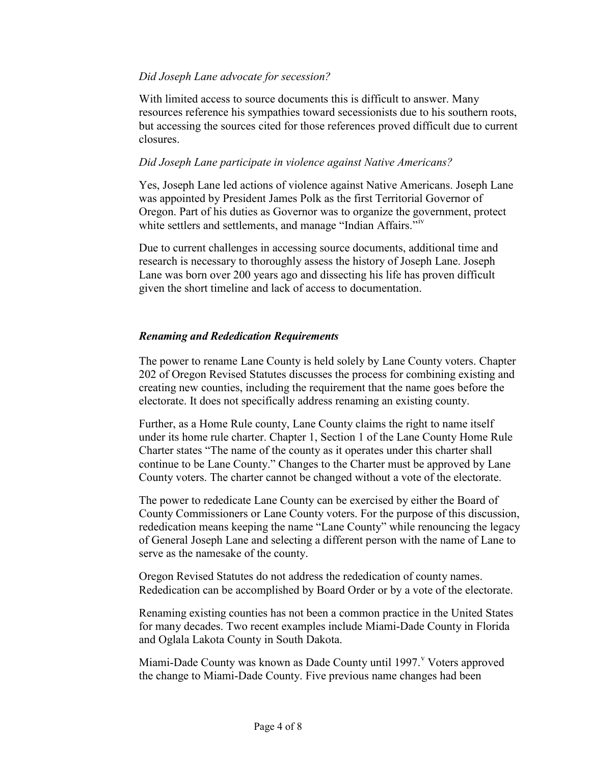### *Did Joseph Lane advocate for secession?*

With limited access to source documents this is difficult to answer. Many resources reference his sympathies toward secessionists due to his southern roots, but accessing the sources cited for those references proved difficult due to current closures.

### *Did Joseph Lane participate in violence against Native Americans?*

Yes, Joseph Lane led actions of violence against Native Americans. Joseph Lane was appointed by President James Polk as the first Territorial Governor of Oregon. Part of his duties as Governor was to organize the government, protect white settlers and settlements, and manage "Indian Affairs."<sup>[iv](#page-7-3)</sup>

Due to current challenges in accessing source documents, additional time and research is necessary to thoroughly assess the history of Joseph Lane. Joseph Lane was born over 200 years ago and dissecting his life has proven difficult given the short timeline and lack of access to documentation.

### *Renaming and Rededication Requirements*

The power to rename Lane County is held solely by Lane County voters. Chapter 202 of Oregon Revised Statutes discusses the process for combining existing and creating new counties, including the requirement that the name goes before the electorate. It does not specifically address renaming an existing county.

Further, as a Home Rule county, Lane County claims the right to name itself under its home rule charter. Chapter 1, Section 1 of the Lane County Home Rule Charter states "The name of the county as it operates under this charter shall continue to be Lane County." Changes to the Charter must be approved by Lane County voters. The charter cannot be changed without a vote of the electorate.

The power to rededicate Lane County can be exercised by either the Board of County Commissioners or Lane County voters. For the purpose of this discussion, rededication means keeping the name "Lane County" while renouncing the legacy of General Joseph Lane and selecting a different person with the name of Lane to serve as the namesake of the county.

Oregon Revised Statutes do not address the rededication of county names. Rededication can be accomplished by Board Order or by a vote of the electorate.

Renaming existing counties has not been a common practice in the United States for many decades. Two recent examples include Miami-Dade County in Florida and Oglala Lakota County in South Dakota.

Miami-Dade County was known as Dade County until 1997. Voters appro[v](#page-7-4)ed the change to Miami-Dade County. Five previous name changes had been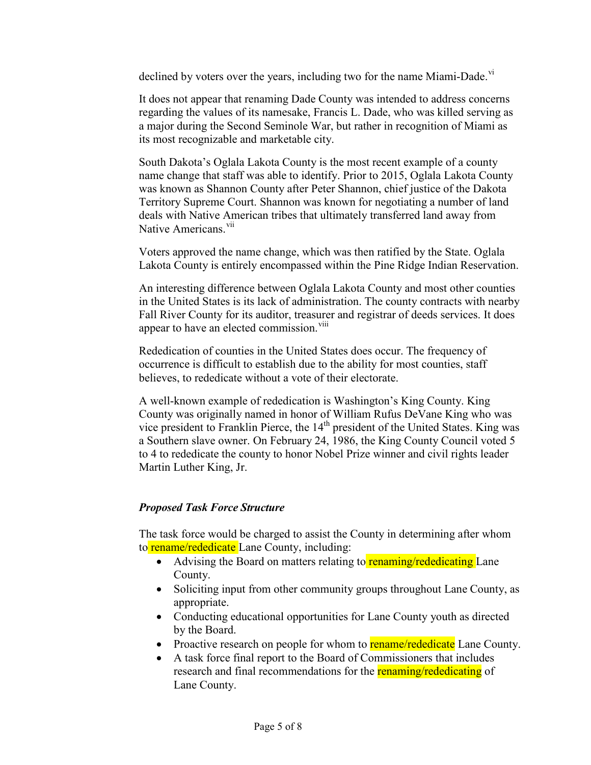declined by voters over the years, including two for the name Miami-Dade.<sup>[vi](#page-7-5)</sup>

It does not appear that renaming Dade County was intended to address concerns regarding the values of its namesake, Francis L. Dade, who was killed serving as a major during the Second Seminole War, but rather in recognition of Miami as its most recognizable and marketable city.

South Dakota's Oglala Lakota County is the most recent example of a county name change that staff was able to identify. Prior to 2015, Oglala Lakota County was known as Shannon County after Peter Shannon, chief justice of the Dakota Territory Supreme Court. Shannon was known for negotiating a number of land deals with Native American tribes that ultimately transferred land away from Native Americans<sup>[vii](#page-7-6)</sup>

Voters approved the name change, which was then ratified by the State. Oglala Lakota County is entirely encompassed within the Pine Ridge Indian Reservation.

An interesting difference between Oglala Lakota County and most other counties in the United States is its lack of administration. The county contracts with nearby Fall River County for its auditor, treasurer and registrar of deeds services. It does appear to have an elected commission.<sup>[viii](#page-7-7)</sup>

Rededication of counties in the United States does occur. The frequency of occurrence is difficult to establish due to the ability for most counties, staff believes, to rededicate without a vote of their electorate.

A well-known example of rededication is Washington's King County. King County was originally named in honor of William Rufus DeVane King who was vice president to Franklin Pierce, the 14<sup>th</sup> president of the United States. King was a Southern slave owner. On February 24, 1986, the King County Council voted 5 to 4 to rededicate the county to honor Nobel Prize winner and civil rights leader Martin Luther King, Jr.

# *Proposed Task Force Structure*

The task force would be charged to assist the County in determining after whom to **rename/rededicate** Lane County, including:

- Advising the Board on matters relating to **renaming/rededicating** Lane County.
- Soliciting input from other community groups throughout Lane County, as appropriate.
- Conducting educational opportunities for Lane County youth as directed by the Board.
- Proactive research on people for whom to **rename/rededicate** Lane County.
- A task force final report to the Board of Commissioners that includes research and final recommendations for the **renaming/rededicating** of Lane County.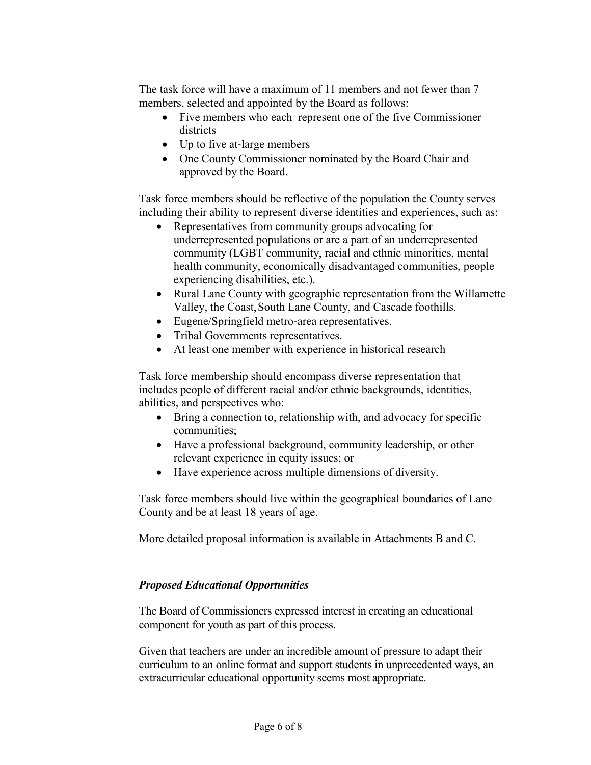The task force will have a maximum of 11 members and not fewer than 7 members, selected and appointed by the Board as follows:

- Five members who each represent one of the five Commissioner districts
- Up to five at-large members
- One County Commissioner nominated by the Board Chair and approved by the Board.

Task force members should be reflective of the population the County serves including their ability to represent diverse identities and experiences, such as:

- Representatives from community groups advocating for underrepresented populations or are a part of an underrepresented community (LGBT community, racial and ethnic minorities, mental health community, economically disadvantaged communities, people experiencing disabilities, etc.).
- Rural Lane County with geographic representation from the Willamette Valley, the Coast,South Lane County, and Cascade foothills.
- Eugene/Springfield metro-area representatives.
- Tribal Governments representatives.
- At least one member with experience in historical research

Task force membership should encompass diverse representation that includes people of different racial and/or ethnic backgrounds, identities, abilities, and perspectives who:

- Bring a connection to, relationship with, and advocacy for specific communities;
- Have a professional background, community leadership, or other relevant experience in equity issues; or
- Have experience across multiple dimensions of diversity.

Task force members should live within the geographical boundaries of Lane County and be at least 18 years of age.

More detailed proposal information is available in Attachments B and C.

# *Proposed Educational Opportunities*

The Board of Commissioners expressed interest in creating an educational component for youth as part of this process.

Given that teachers are under an incredible amount of pressure to adapt their curriculum to an online format and support students in unprecedented ways, an extracurricular educational opportunity seems most appropriate.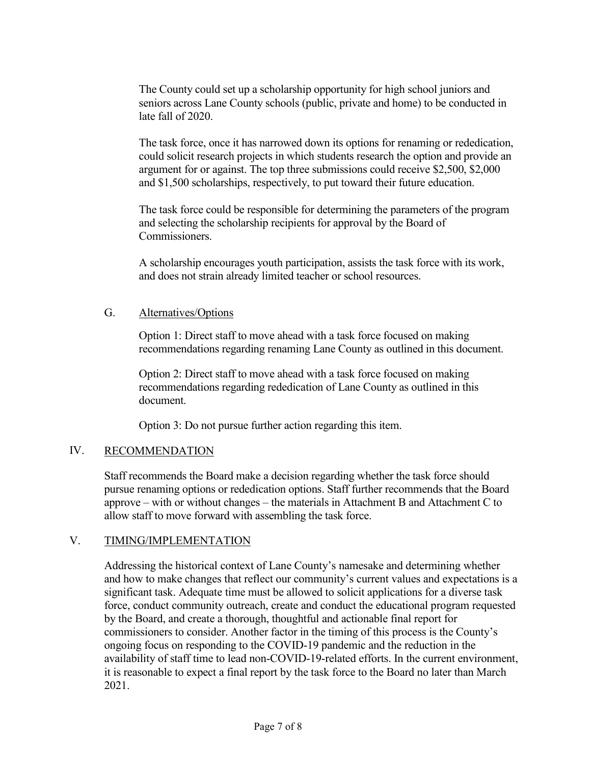The County could set up a scholarship opportunity for high school juniors and seniors across Lane County schools (public, private and home) to be conducted in late fall of 2020.

The task force, once it has narrowed down its options for renaming or rededication, could solicit research projects in which students research the option and provide an argument for or against. The top three submissions could receive \$2,500, \$2,000 and \$1,500 scholarships, respectively, to put toward their future education.

The task force could be responsible for determining the parameters of the program and selecting the scholarship recipients for approval by the Board of **Commissioners** 

A scholarship encourages youth participation, assists the task force with its work, and does not strain already limited teacher or school resources.

### G. Alternatives/Options

Option 1: Direct staff to move ahead with a task force focused on making recommendations regarding renaming Lane County as outlined in this document.

Option 2: Direct staff to move ahead with a task force focused on making recommendations regarding rededication of Lane County as outlined in this document.

Option 3: Do not pursue further action regarding this item.

# IV. RECOMMENDATION

Staff recommends the Board make a decision regarding whether the task force should pursue renaming options or rededication options. Staff further recommends that the Board approve – with or without changes – the materials in Attachment B and Attachment C to allow staff to move forward with assembling the task force.

#### V. TIMING/IMPLEMENTATION

Addressing the historical context of Lane County's namesake and determining whether and how to make changes that reflect our community's current values and expectations is a significant task. Adequate time must be allowed to solicit applications for a diverse task force, conduct community outreach, create and conduct the educational program requested by the Board, and create a thorough, thoughtful and actionable final report for commissioners to consider. Another factor in the timing of this process is the County's ongoing focus on responding to the COVID-19 pandemic and the reduction in the availability of staff time to lead non-COVID-19-related efforts. In the current environment, it is reasonable to expect a final report by the task force to the Board no later than March 2021.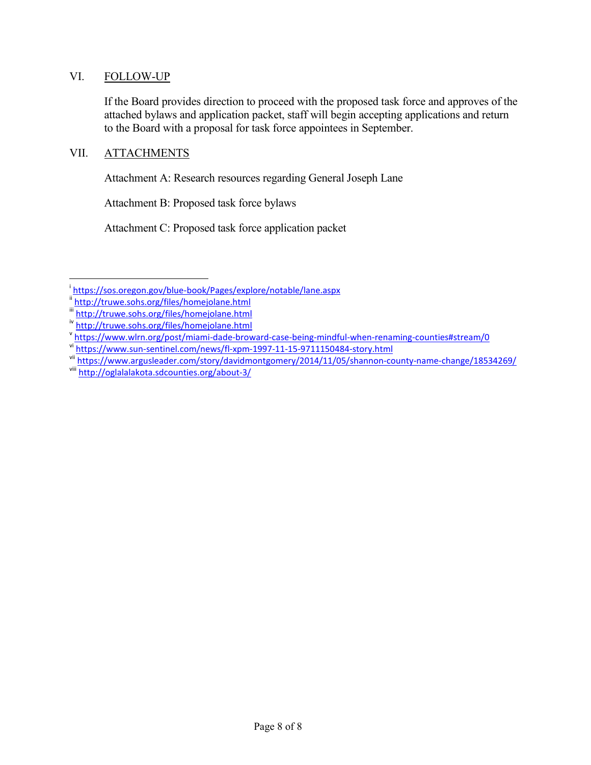#### VI. FOLLOW-UP

If the Board provides direction to proceed with the proposed task force and approves of the attached bylaws and application packet, staff will begin accepting applications and return to the Board with a proposal for task force appointees in September.

### VII. ATTACHMENTS

Attachment A: Research resources regarding General Joseph Lane

Attachment B: Proposed task force bylaws

Attachment C: Proposed task force application packet

<span id="page-7-0"></span>i <https://sos.oregon.gov/blue-book/Pages/explore/notable/lane.aspx><br>inttp://truwe.sohs.org/files/homejolane.html

<span id="page-7-1"></span>

<span id="page-7-2"></span>iii <http://truwe.sohs.org/files/homejolane.html>

<span id="page-7-4"></span><span id="page-7-3"></span>iv <http://truwe.sohs.org/files/homejolane.html><br>v https://www.wlrn.org/post/miami-dade-broward-case-being-mindful-when-renaming-counties#stream/0

<span id="page-7-6"></span><span id="page-7-5"></span>vinttps://www.sun-sentinel.com/news/fl-xpm-1997-11-15-9711150484-story.html<br>viinttps://www.argusleader.com/story/davidmontgomery/2014/11/05/shannon-county-name-change/18534269/<br>viii http://oglalalakota.sdcounties.org/about

<span id="page-7-7"></span>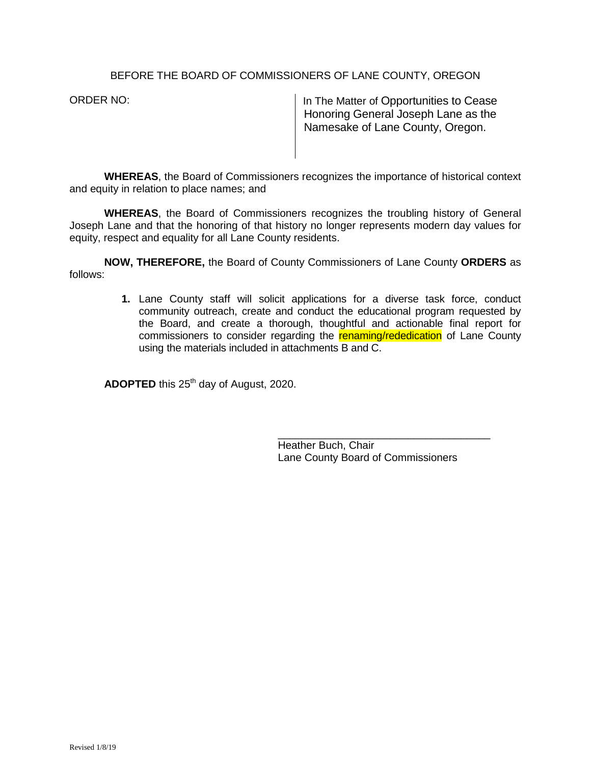#### BEFORE THE BOARD OF COMMISSIONERS OF LANE COUNTY, OREGON

ORDER NO: In The Matter of Opportunities to Cease Honoring General Joseph Lane as the Namesake of Lane County, Oregon.

**WHEREAS**, the Board of Commissioners recognizes the importance of historical context and equity in relation to place names; and

**WHEREAS**, the Board of Commissioners recognizes the troubling history of General Joseph Lane and that the honoring of that history no longer represents modern day values for equity, respect and equality for all Lane County residents.

**NOW, THEREFORE,** the Board of County Commissioners of Lane County **ORDERS** as follows:

> **1.** Lane County staff will solicit applications for a diverse task force, conduct community outreach, create and conduct the educational program requested by the Board, and create a thorough, thoughtful and actionable final report for commissioners to consider regarding the **renaming/rededication** of Lane County using the materials included in attachments B and C.

**ADOPTED** this 25<sup>th</sup> day of August, 2020.

\_\_\_\_\_\_\_\_\_\_\_\_\_\_\_\_\_\_\_\_\_\_\_\_\_\_\_\_\_\_\_\_\_\_\_\_ Heather Buch, Chair Lane County Board of Commissioners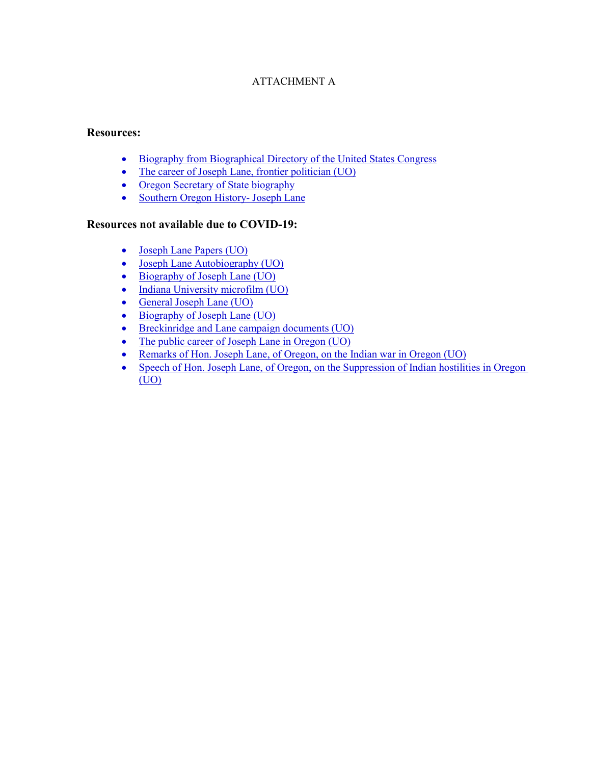### ATTACHMENT A

#### **Resources:**

- [Biography from Biographical Directory of the United States Congress](https://bioguideretro.congress.gov/Home/MemberDetails?memIndex=l000062)
- [The career of Joseph Lane, frontier politician \(UO\)](https://alliance-primo.hosted.exlibrisgroup.com/primo-explore/fulldisplay?docid=CP71122648600001451&context=L&vid=UO&lang=en_US&search_scope=everything&adaptor=Local%20Search%20Engine&tab=default_tab&query=any,contains,joseph%20lane&mode=basic&offset=0)
- [Oregon Secretary of State biography](https://sos.oregon.gov/blue-book/Pages/explore/notable/lane.aspx)
- [Southern Oregon History-](http://truwe.sohs.org/files/homejolane.html) Joseph Lane

#### **Resources not available due to COVID-19:**

- [Joseph Lane Papers \(UO\)](https://alliance-primo.hosted.exlibrisgroup.com/primo-explore/fulldisplay?docid=CP71148673320001451&context=L&vid=UO&lang=en_US&search_scope=everything&adaptor=Local%20Search%20Engine&tab=default_tab&query=any,contains,joseph%20lane&mode=basic&offset=0)
- [Joseph Lane Autobiography \(UO\)](https://alliance-primo.hosted.exlibrisgroup.com/primo-explore/fulldisplay?docid=CP71122490240001451&context=L&vid=UO&lang=en_US&search_scope=everything&adaptor=Local%20Search%20Engine&tab=default_tab&query=any,contains,joseph%20lane&mode=basic&offset=0)
- [Biography of Joseph Lane \(UO\)](https://alliance-primo.hosted.exlibrisgroup.com/primo-explore/fulldisplay?docid=CP71167942390001451&context=L&vid=UO&lang=en_US&search_scope=everything&adaptor=Local%20Search%20Engine&tab=default_tab&query=any,contains,joseph%20lane&mode=basic&offset=0)
- [Indiana University microfilm \(UO\)](https://alliance-primo.hosted.exlibrisgroup.com/primo-explore/fulldisplay?docid=CP71118157700001451&context=L&vid=UO&lang=en_US&search_scope=everything&adaptor=Local%20Search%20Engine&tab=default_tab&query=any,contains,joseph%20lane&mode=basic&offset=0)
- [General Joseph Lane \(UO\)](https://alliance-primo.hosted.exlibrisgroup.com/primo-explore/fulldisplay?docid=CP71299609350001451&context=L&vid=UO&lang=en_US&search_scope=everything&adaptor=Local%20Search%20Engine&tab=default_tab&query=any,contains,joseph%20lane&mode=basic&offset=0)
- [Biography of Joseph Lane \(UO\)](https://alliance-primo.hosted.exlibrisgroup.com/primo-explore/fulldisplay?docid=CP71124637540001451&context=L&vid=UO&lang=en_US&search_scope=everything&adaptor=Local%20Search%20Engine&tab=default_tab&query=any,contains,joseph%20lane&mode=basic&offset=0)
- [Breckinridge and Lane campaign documents \(UO\)](https://alliance-primo.hosted.exlibrisgroup.com/primo-explore/fulldisplay?docid=CP71150315420001451&context=L&vid=UO&lang=en_US&search_scope=everything&adaptor=Local%20Search%20Engine&tab=default_tab&query=any,contains,joseph%20lane&mode=basic)
- [The public career of Joseph Lane in Oregon \(UO\)](https://alliance-primo.hosted.exlibrisgroup.com/primo-explore/fulldisplay?docid=CP71140581090001451&context=L&vid=UO&lang=en_US&search_scope=everything&adaptor=Local%20Search%20Engine&tab=default_tab&query=any,contains,joseph%20lane&mode=basic&offset=0)
- [Remarks of Hon. Joseph Lane, of Oregon, on the Indian war in Oregon \(UO\)](https://alliance-primo.hosted.exlibrisgroup.com/primo-explore/fulldisplay?docid=CP71172523330001451&context=L&vid=UO&lang=en_US&search_scope=everything&adaptor=Local%20Search%20Engine&tab=default_tab&query=any,contains,joseph%20lane&mode=basic&offset=0)
- Speech of Hon. Joseph Lane, of Oregon, on the Suppression of Indian hostilities in Oregon [\(UO\)](https://alliance-primo.hosted.exlibrisgroup.com/primo-explore/fulldisplay?docid=CP71107203970001451&context=L&vid=UO&lang=en_US&search_scope=everything&adaptor=Local%20Search%20Engine&tab=default_tab&query=any,contains,joseph%20lane&mode=basic&offset=0)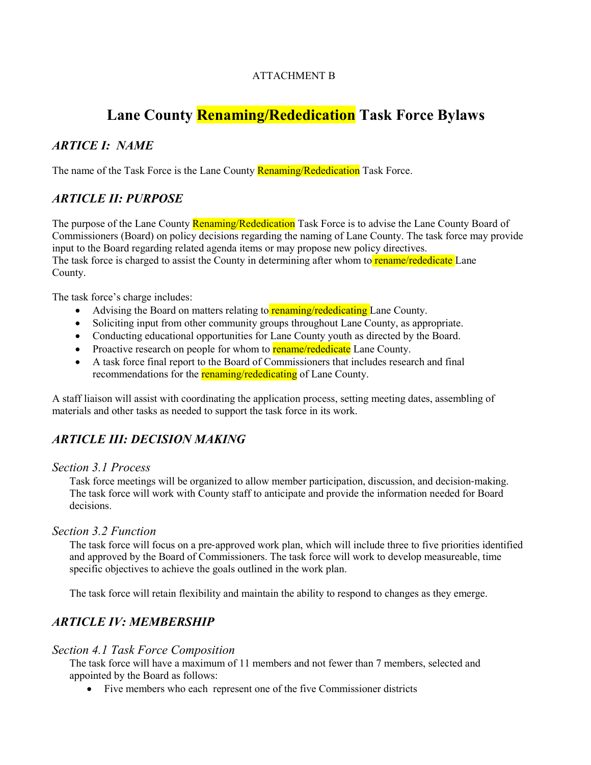### ATTACHMENT B

# **Lane County Renaming/Rededication Task Force Bylaws**

# *ARTICE I: NAME*

The name of the Task Force is the Lane County Renaming/Rededication Task Force.

# *ARTICLE II: PURPOSE*

The purpose of the Lane County Renaming/Rededication Task Force is to advise the Lane County Board of Commissioners (Board) on policy decisions regarding the naming of Lane County. The task force may provide input to the Board regarding related agenda items or may propose new policy directives. The task force is charged to assist the County in determining after whom to **rename/rededicate** Lane County.

The task force's charge includes:

- Advising the Board on matters relating to **renaming/rededicating** Lane County.
- Soliciting input from other community groups throughout Lane County, as appropriate.
- Conducting educational opportunities for Lane County youth as directed by the Board.
- Proactive research on people for whom to **rename/rededicate** Lane County.
- A task force final report to the Board of Commissioners that includes research and final recommendations for the **renaming/rededicating** of Lane County.

A staff liaison will assist with coordinating the application process, setting meeting dates, assembling of materials and other tasks as needed to support the task force in its work.

# *ARTICLE III: DECISION MAKING*

#### *Section 3.1 Process*

Task force meetings will be organized to allow member participation, discussion, and decision-making. The task force will work with County staff to anticipate and provide the information needed for Board decisions.

#### *Section 3.2 Function*

The task force will focus on a pre‐approved work plan, which will include three to five priorities identified and approved by the Board of Commissioners. The task force will work to develop measureable, time specific objectives to achieve the goals outlined in the work plan.

The task force will retain flexibility and maintain the ability to respond to changes as they emerge.

# *ARTICLE IV: MEMBERSHIP*

#### *Section 4.1 Task Force Composition*

The task force will have a maximum of 11 members and not fewer than 7 members, selected and appointed by the Board as follows:

• Five members who each represent one of the five Commissioner districts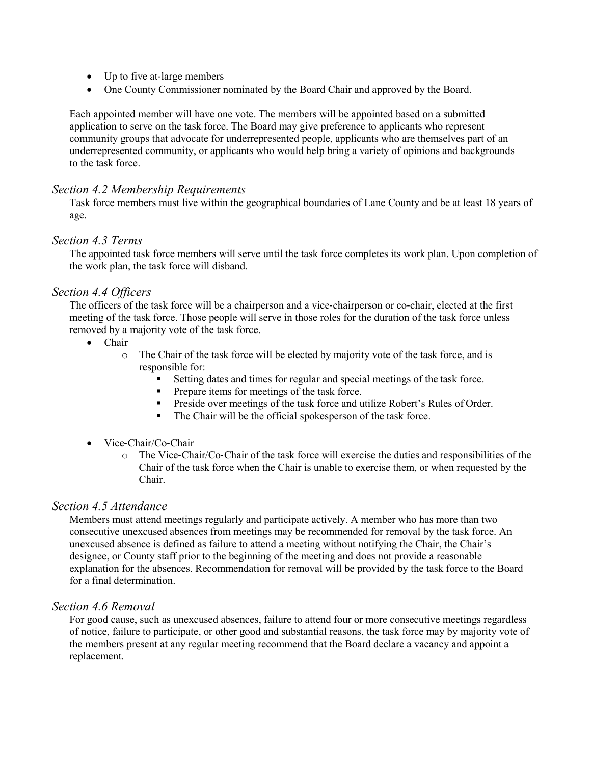- Up to five at-large members
- One County Commissioner nominated by the Board Chair and approved by the Board.

Each appointed member will have one vote. The members will be appointed based on a submitted application to serve on the task force. The Board may give preference to applicants who represent community groups that advocate for underrepresented people, applicants who are themselves part of an underrepresented community, or applicants who would help bring a variety of opinions and backgrounds to the task force.

#### *Section 4.2 Membership Requirements*

Task force members must live within the geographical boundaries of Lane County and be at least 18 years of age.

#### *Section 4.3 Terms*

The appointed task force members will serve until the task force completes its work plan. Upon completion of the work plan, the task force will disband.

#### *Section 4.4 Officers*

The officers of the task force will be a chairperson and a vice-chairperson or co-chair, elected at the first meeting of the task force. Those people will serve in those roles for the duration of the task force unless removed by a majority vote of the task force.

- Chair
	- o The Chair of the task force will be elected by majority vote of the task force, and is responsible for:
		- Setting dates and times for regular and special meetings of the task force.
		- **Prepare items for meetings of the task force.**
		- **Preside over meetings of the task force and utilize Robert's Rules of Order.**
		- The Chair will be the official spokesperson of the task force.
- Vice-Chair/Co-Chair
	- o The Vice‐Chair/Co‐Chair of the task force will exercise the duties and responsibilities of the Chair of the task force when the Chair is unable to exercise them, or when requested by the Chair.

#### *Section 4.5 Attendance*

Members must attend meetings regularly and participate actively. A member who has more than two consecutive unexcused absences from meetings may be recommended for removal by the task force. An unexcused absence is defined as failure to attend a meeting without notifying the Chair, the Chair's designee, or County staff prior to the beginning of the meeting and does not provide a reasonable explanation for the absences. Recommendation for removal will be provided by the task force to the Board for a final determination.

#### *Section 4.6 Removal*

For good cause, such as unexcused absences, failure to attend four or more consecutive meetings regardless of notice, failure to participate, or other good and substantial reasons, the task force may by majority vote of the members present at any regular meeting recommend that the Board declare a vacancy and appoint a replacement.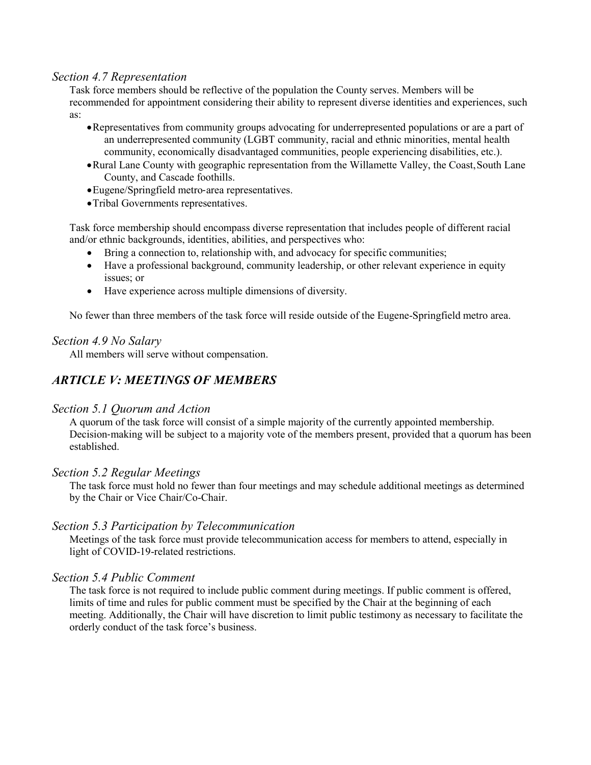#### *Section 4.7 Representation*

Task force members should be reflective of the population the County serves. Members will be recommended for appointment considering their ability to represent diverse identities and experiences, such as:

- •Representatives from community groups advocating for underrepresented populations or are a part of an underrepresented community (LGBT community, racial and ethnic minorities, mental health community, economically disadvantaged communities, people experiencing disabilities, etc.).
- •Rural Lane County with geographic representation from the Willamette Valley, the Coast,South Lane County, and Cascade foothills.
- •Eugene/Springfield metro‐area representatives.
- •Tribal Governments representatives.

Task force membership should encompass diverse representation that includes people of different racial and/or ethnic backgrounds, identities, abilities, and perspectives who:

- Bring a connection to, relationship with, and advocacy for specific communities;
- Have a professional background, community leadership, or other relevant experience in equity issues; or
- Have experience across multiple dimensions of diversity.

No fewer than three members of the task force will reside outside of the Eugene-Springfield metro area.

#### *Section 4.9 No Salary*

All members will serve without compensation.

# *ARTICLE V: MEETINGS OF MEMBERS*

#### *Section 5.1 Quorum and Action*

A quorum of the task force will consist of a simple majority of the currently appointed membership. Decision-making will be subject to a majority vote of the members present, provided that a quorum has been established.

#### *Section 5.2 Regular Meetings*

The task force must hold no fewer than four meetings and may schedule additional meetings as determined by the Chair or Vice Chair/Co-Chair.

#### *Section 5.3 Participation by Telecommunication*

Meetings of the task force must provide telecommunication access for members to attend, especially in light of COVID-19-related restrictions.

#### *Section 5.4 Public Comment*

The task force is not required to include public comment during meetings. If public comment is offered, limits of time and rules for public comment must be specified by the Chair at the beginning of each meeting. Additionally, the Chair will have discretion to limit public testimony as necessary to facilitate the orderly conduct of the task force's business.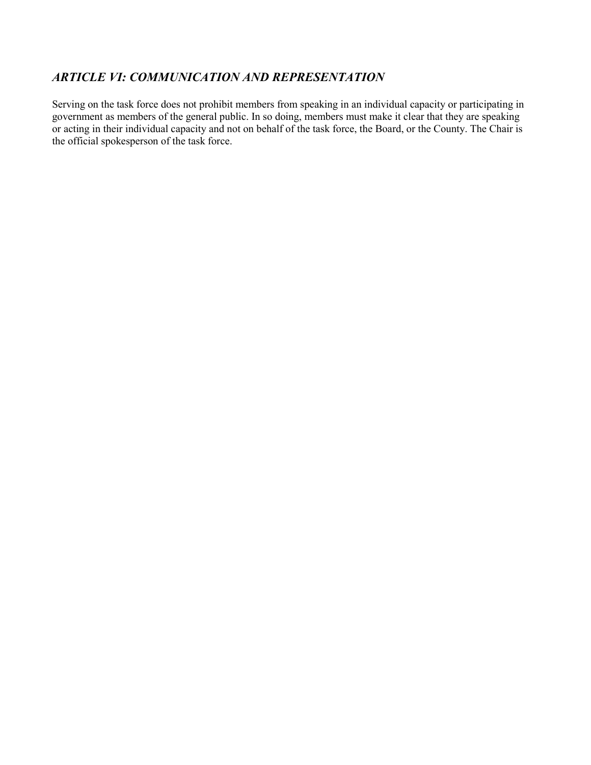# *ARTICLE VI: COMMUNICATION AND REPRESENTATION*

Serving on the task force does not prohibit members from speaking in an individual capacity or participating in government as members of the general public. In so doing, members must make it clear that they are speaking or acting in their individual capacity and not on behalf of the task force, the Board, or the County. The Chair is the official spokesperson of the task force.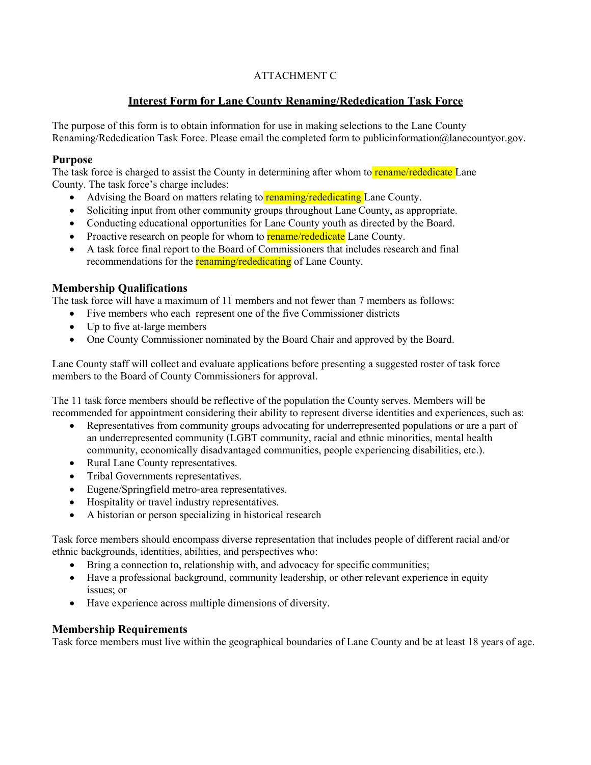# ATTACHMENT C

# **Interest Form for Lane County Renaming/Rededication Task Force**

The purpose of this form is to obtain information for use in making selections to the Lane County Renaming/Rededication Task Force. Please email the completed form to publicinformation@lanecountyor.gov.

#### **Purpose**

The task force is charged to assist the County in determining after whom to **rename/rededicate** Lane County. The task force's charge includes:

- Advising the Board on matters relating to renaming/rededicating Lane County.
- Soliciting input from other community groups throughout Lane County, as appropriate.
- Conducting educational opportunities for Lane County youth as directed by the Board.
- Proactive research on people for whom to **rename/rededicate** Lane County.
- A task force final report to the Board of Commissioners that includes research and final recommendations for the **renaming/rededicating** of Lane County.

### **Membership Qualifications**

The task force will have a maximum of 11 members and not fewer than 7 members as follows:

- Five members who each represent one of the five Commissioner districts
- Up to five at-large members
- One County Commissioner nominated by the Board Chair and approved by the Board.

Lane County staff will collect and evaluate applications before presenting a suggested roster of task force members to the Board of County Commissioners for approval.

The 11 task force members should be reflective of the population the County serves. Members will be recommended for appointment considering their ability to represent diverse identities and experiences, such as:

- Representatives from community groups advocating for underrepresented populations or are a part of an underrepresented community (LGBT community, racial and ethnic minorities, mental health community, economically disadvantaged communities, people experiencing disabilities, etc.).
- Rural Lane County representatives.
- Tribal Governments representatives.
- Eugene/Springfield metro-area representatives.
- Hospitality or travel industry representatives.
- A historian or person specializing in historical research

Task force members should encompass diverse representation that includes people of different racial and/or ethnic backgrounds, identities, abilities, and perspectives who:

- Bring a connection to, relationship with, and advocacy for specific communities;
- Have a professional background, community leadership, or other relevant experience in equity issues; or
- Have experience across multiple dimensions of diversity.

# **Membership Requirements**

Task force members must live within the geographical boundaries of Lane County and be at least 18 years of age.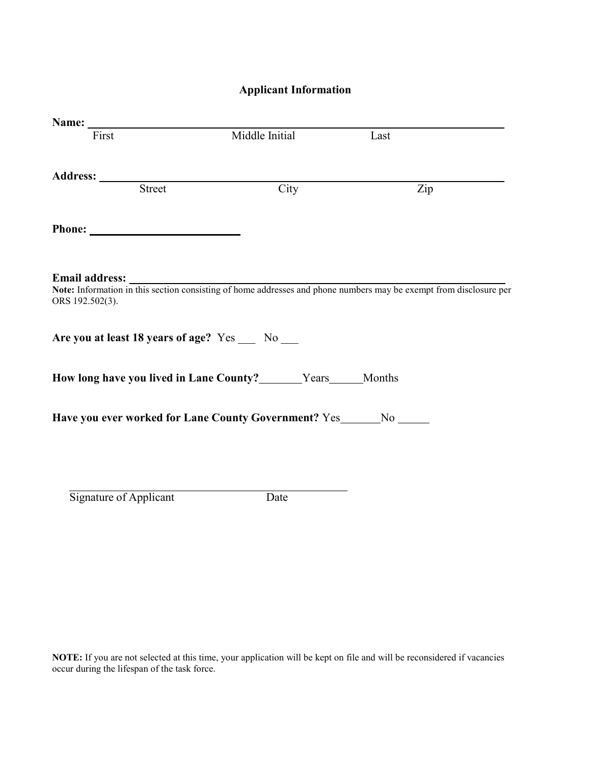# **Applicant Information**

| Name: $\sqrt{2\pi}$                            |                                                                      |                                                                                                                    |
|------------------------------------------------|----------------------------------------------------------------------|--------------------------------------------------------------------------------------------------------------------|
| First                                          | Middle Initial                                                       | Last                                                                                                               |
|                                                |                                                                      |                                                                                                                    |
| Street                                         | City                                                                 | Zip                                                                                                                |
|                                                |                                                                      |                                                                                                                    |
| <b>Email address:</b><br>ORS 192.502(3).       |                                                                      | Note: Information in this section consisting of home addresses and phone numbers may be exempt from disclosure per |
| Are you at least 18 years of age? Yes __ No __ |                                                                      |                                                                                                                    |
|                                                | How long have you lived in Lane County? _______Years _____Months     |                                                                                                                    |
|                                                | Have you ever worked for Lane County Government? Yes_______No ______ |                                                                                                                    |
|                                                |                                                                      |                                                                                                                    |
|                                                |                                                                      |                                                                                                                    |
| Signature of Applicant                         | Date                                                                 |                                                                                                                    |

**NOTE:** If you are not selected at this time, your application will be kept on file and will be reconsidered if vacancies occur during the lifespan of the task force.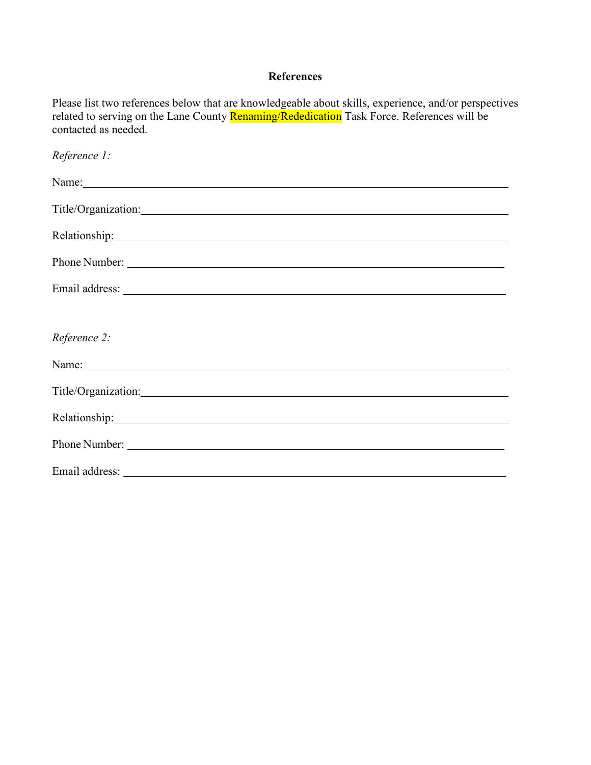# **References**

Please list two references below that are knowledgeable about skills, experience, and/or perspectives related to serving on the Lane County Renaming/Rededication Task Force. References will be contacted as needed.

| Reference 1:                                                                                                                                                                                                                   |
|--------------------------------------------------------------------------------------------------------------------------------------------------------------------------------------------------------------------------------|
| Name: Name and the set of the set of the set of the set of the set of the set of the set of the set of the set of the set of the set of the set of the set of the set of the set of the set of the set of the set of the set o |
| Title/Organization:                                                                                                                                                                                                            |
| Relationship: 1988 Contained the Contained Security and Security and Security and Security and Security and Security and Security and Security and Security and Security and Security and Security and Security and Security a |
|                                                                                                                                                                                                                                |
|                                                                                                                                                                                                                                |
|                                                                                                                                                                                                                                |
| Reference 2:                                                                                                                                                                                                                   |
| Name: Name: Name: Name: Name: Name: Name: Name: Name: Name: Name: Name: Name: Name: Name: Name: Name: Name: Name: Name: Name: Name: Name: Name: Name: Name: Name: Name: Name: Name: Name: Name: Name: Name: Name: Name: Name:  |
| Title/Organization:                                                                                                                                                                                                            |
|                                                                                                                                                                                                                                |
| Phone Number: <u>Number</u> 2007                                                                                                                                                                                               |
|                                                                                                                                                                                                                                |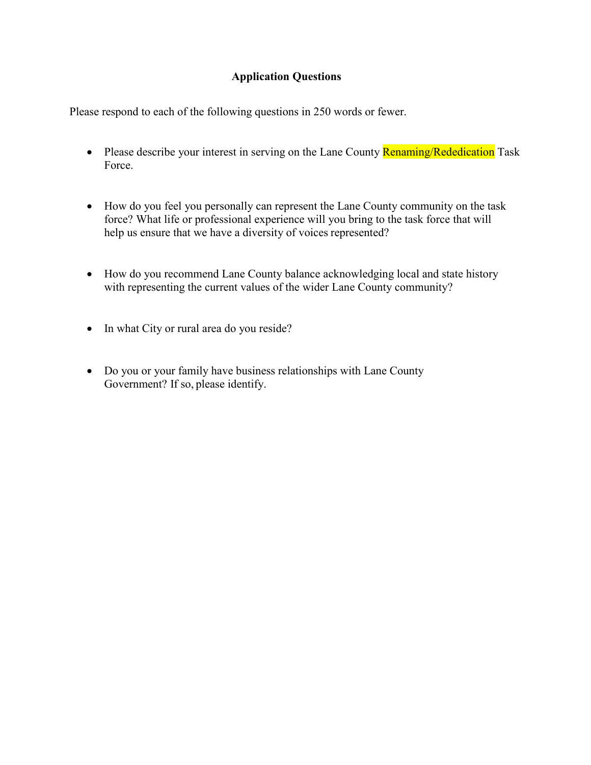# **Application Questions**

Please respond to each of the following questions in 250 words or fewer.

- Please describe your interest in serving on the Lane County **Renaming/Rededication** Task Force.
- How do you feel you personally can represent the Lane County community on the task force? What life or professional experience will you bring to the task force that will help us ensure that we have a diversity of voices represented?
- How do you recommend Lane County balance acknowledging local and state history with representing the current values of the wider Lane County community?
- In what City or rural area do you reside?
- Do you or your family have business relationships with Lane County Government? If so, please identify.